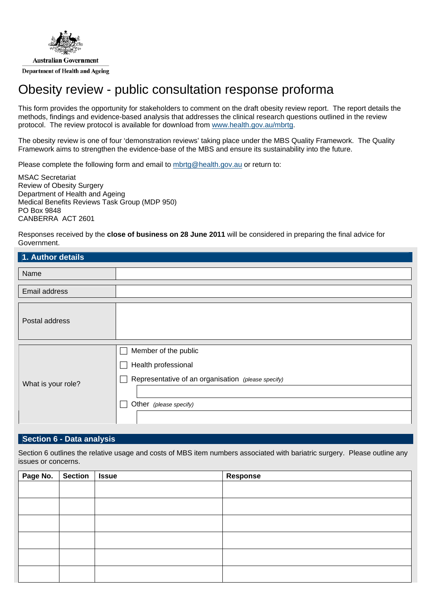

# Obesity review - public consultation response proforma

This form provides the opportunity for stakeholders to comment on the draft obesity review report. The report details the methods, findings and evidence-based analysis that addresses the clinical research questions outlined in the review protocol. The review protocol is available for download from [www.health.gov.au/mbrtg](http://www.health.gov.au/).

The obesity review is one of four 'demonstration reviews' taking place under the MBS Quality Framework. The Quality Framework aims to strengthen the evidence-base of the MBS and ensure its sustainability into the future.

Please complete the following form and email to [mbrtg@health.gov.au](mailto:mbrtg@health.gov.au) or return to:

MSAC Secretariat Review of Obesity Surgery Department of Health and Ageing Medical Benefits Reviews Task Group (MDP 950) PO Box 9848 CANBERRA ACT 2601

Responses received by the **close of business on 28 June 2011** will be considered in preparing the final advice for Government.

| 1. Author details  |                                                                                                                             |
|--------------------|-----------------------------------------------------------------------------------------------------------------------------|
| Name               |                                                                                                                             |
| Email address      |                                                                                                                             |
| Postal address     |                                                                                                                             |
| What is your role? | Member of the public<br>Health professional<br>Representative of an organisation (please specify)<br>Other (please specify) |

#### **Section 6 - Data analysis**

Section 6 outlines the relative usage and costs of MBS item numbers associated with bariatric surgery. Please outline any issues or concerns.

| Page No. | Section   Issue | <b>Response</b> |
|----------|-----------------|-----------------|
|          |                 |                 |
|          |                 |                 |
|          |                 |                 |
|          |                 |                 |
|          |                 |                 |
|          |                 |                 |